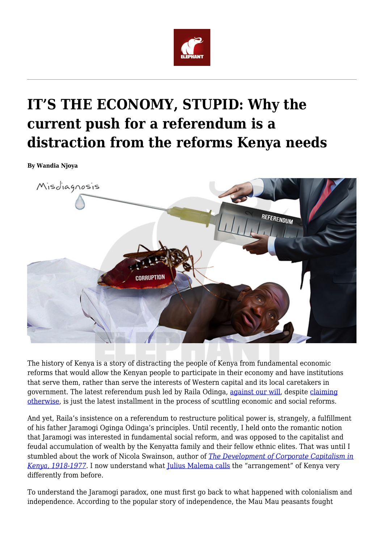

## **IT'S THE ECONOMY, STUPID: Why the current push for a referendum is a distraction from the reforms Kenya needs**

**By Wandia Njoya**



The history of Kenya is a story of distracting the people of Kenya from fundamental economic reforms that would allow the Kenyan people to participate in their economy and have institutions that serve them, rather than serve the interests of Western capital and its local caretakers in government. The latest referendum push led by Raila Odinga, [against our will,](https://www.the-star.co.ke/news/2018/10/04/referendum-unstoppable-tied-to-handshake-raila_c1829906) despite [claiming](https://citizentv.co.ke/news/we-wont-force-the-referendum-on-you-raila-tells-kenyans-214261/) [otherwise,](https://citizentv.co.ke/news/we-wont-force-the-referendum-on-you-raila-tells-kenyans-214261/) is just the latest installment in the process of scuttling economic and social reforms.

And yet, Raila's insistence on a referendum to restructure political power is, strangely, a fulfillment of his father Jaramogi Oginga Odinga's principles. Until recently, I held onto the romantic notion that Jaramogi was interested in fundamental social reform, and was opposed to the capitalist and feudal accumulation of wealth by the Kenyatta family and their fellow ethnic elites. That was until I stumbled about the work of Nicola Swainson, author of *[The Development of Corporate Capitalism in](https://www.amazon.com/Development-Corporate-Capitalism-Kenya-1918-1977/dp/0520040198) [Kenya, 1918-1977](https://www.amazon.com/Development-Corporate-Capitalism-Kenya-1918-1977/dp/0520040198)*. I now understand what *Julius Malema calls* the "arrangement" of Kenya very differently from before.

To understand the Jaramogi paradox, one must first go back to what happened with colonialism and independence. According to the popular story of independence, the Mau Mau peasants fought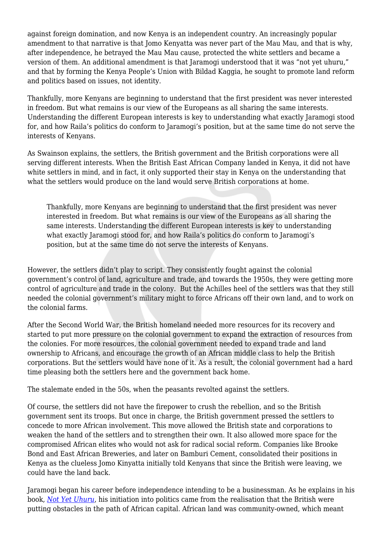against foreign domination, and now Kenya is an independent country. An increasingly popular amendment to that narrative is that Jomo Kenyatta was never part of the Mau Mau, and that is why, after independence, he betrayed the Mau Mau cause, protected the white settlers and became a version of them. An additional amendment is that Jaramogi understood that it was "not yet uhuru," and that by forming the Kenya People's Union with Bildad Kaggia, he sought to promote land reform and politics based on issues, not identity.

Thankfully, more Kenyans are beginning to understand that the first president was never interested in freedom. But what remains is our view of the Europeans as all sharing the same interests. Understanding the different European interests is key to understanding what exactly Jaramogi stood for, and how Raila's politics do conform to Jaramogi's position, but at the same time do not serve the interests of Kenyans.

As Swainson explains, the settlers, the British government and the British corporations were all serving different interests. When the British East African Company landed in Kenya, it did not have white settlers in mind, and in fact, it only supported their stay in Kenya on the understanding that what the settlers would produce on the land would serve British corporations at home.

Thankfully, more Kenyans are beginning to understand that the first president was never interested in freedom. But what remains is our view of the Europeans as all sharing the same interests. Understanding the different European interests is key to understanding what exactly Jaramogi stood for, and how Raila's politics do conform to Jaramogi's position, but at the same time do not serve the interests of Kenyans.

However, the settlers didn't play to script. They consistently fought against the colonial government's control of land, agriculture and trade, and towards the 1950s, they were getting more control of agriculture and trade in the colony. But the Achilles heel of the settlers was that they still needed the colonial government's military might to force Africans off their own land, and to work on the colonial farms.

After the Second World War, the British homeland needed more resources for its recovery and started to put more pressure on the colonial government to expand the extraction of resources from the colonies. For more resources, the colonial government needed to expand trade and land ownership to Africans, and encourage the growth of an African middle class to help the British corporations. But the settlers would have none of it. As a result, the colonial government had a hard time pleasing both the settlers here and the government back home.

The stalemate ended in the 50s, when the peasants revolted against the settlers.

Of course, the settlers did not have the firepower to crush the rebellion, and so the British government sent its troops. But once in charge, the British government pressed the settlers to concede to more African involvement. This move allowed the British state and corporations to weaken the hand of the settlers and to strengthen their own. It also allowed more space for the compromised African elites who would not ask for radical social reform. Companies like Brooke Bond and East African Breweries, and later on Bamburi Cement, consolidated their positions in Kenya as the clueless Jomo Kinyatta initially told Kenyans that since the British were leaving, we could have the land back.

Jaramogi began his career before independence intending to be a businessman. As he explains in his book, *[Not Yet Uhuru](https://www.amazon.com/Not-Yet-Uhuru-Autobiography-Oginga/dp/0435900382)*, his initiation into politics came from the realisation that the British were putting obstacles in the path of African capital. African land was community-owned, which meant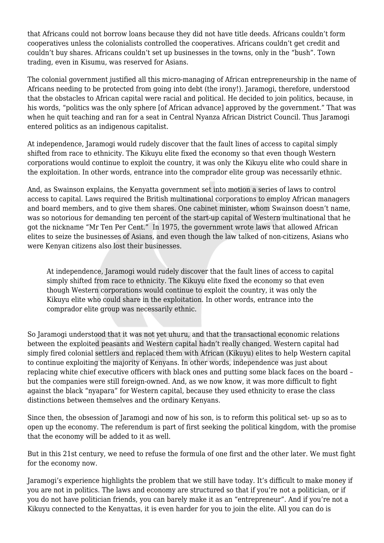that Africans could not borrow loans because they did not have title deeds. Africans couldn't form cooperatives unless the colonialists controlled the cooperatives. Africans couldn't get credit and couldn't buy shares. Africans couldn't set up businesses in the towns, only in the "bush". Town trading, even in Kisumu, was reserved for Asians.

The colonial government justified all this micro-managing of African entrepreneurship in the name of Africans needing to be protected from going into debt (the irony!). Jaramogi, therefore, understood that the obstacles to African capital were racial and political. He decided to join politics, because, in his words, "politics was the only sphere [of African advance] approved by the government." That was when he quit teaching and ran for a seat in Central Nyanza African District Council. Thus Jaramogi entered politics as an indigenous capitalist.

At independence, Jaramogi would rudely discover that the fault lines of access to capital simply shifted from race to ethnicity. The Kikuyu elite fixed the economy so that even though Western corporations would continue to exploit the country, it was only the Kikuyu elite who could share in the exploitation. In other words, entrance into the comprador elite group was necessarily ethnic.

And, as Swainson explains, the Kenyatta government set into motion a series of laws to control access to capital. Laws required the British multinational corporations to employ African managers and board members, and to give them shares. One cabinet minister, whom Swainson doesn't name, was so notorious for demanding ten percent of the start-up capital of Western multinational that he got the nickname "Mr Ten Per Cent." In 1975, the government wrote laws that allowed African elites to seize the businesses of Asians, and even though the law talked of non-citizens, Asians who were Kenyan citizens also lost their businesses.

At independence, Jaramogi would rudely discover that the fault lines of access to capital simply shifted from race to ethnicity. The Kikuyu elite fixed the economy so that even though Western corporations would continue to exploit the country, it was only the Kikuyu elite who could share in the exploitation. In other words, entrance into the comprador elite group was necessarily ethnic.

So Jaramogi understood that it was not yet uhuru, and that the transactional economic relations between the exploited peasants and Western capital hadn't really changed. Western capital had simply fired colonial settlers and replaced them with African (Kikuyu) elites to help Western capital to continue exploiting the majority of Kenyans. In other words, independence was just about replacing white chief executive officers with black ones and putting some black faces on the board – but the companies were still foreign-owned. And, as we now know, it was more difficult to fight against the black "nyapara" for Western capital, because they used ethnicity to erase the class distinctions between themselves and the ordinary Kenyans.

Since then, the obsession of Jaramogi and now of his son, is to reform this political set- up so as to open up the economy. The referendum is part of first seeking the political kingdom, with the promise that the economy will be added to it as well.

But in this 21st century, we need to refuse the formula of one first and the other later. We must fight for the economy now.

Jaramogi's experience highlights the problem that we still have today. It's difficult to make money if you are not in politics. The laws and economy are structured so that if you're not a politician, or if you do not have politician friends, you can barely make it as an "entrepreneur". And if you're not a Kikuyu connected to the Kenyattas, it is even harder for you to join the elite. All you can do is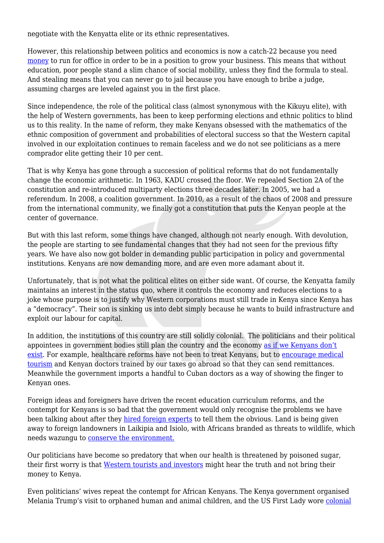negotiate with the Kenyatta elite or its ethnic representatives.

However, this relationship between politics and economics is now a catch-22 because you need [money](https://theconversation.com/kenyas-election-jitters-have-roots-in-campaign-financing-its-time-to-act-81693) to run for office in order to be in a position to grow your business. This means that without education, poor people stand a slim chance of social mobility, unless they find the formula to steal. And stealing means that you can never go to jail because you have enough to bribe a judge, assuming charges are leveled against you in the first place.

Since independence, the role of the political class (almost synonymous with the Kikuyu elite), with the help of Western governments, has been to keep performing elections and ethnic politics to blind us to this reality. In the name of reform, they make Kenyans obsessed with the mathematics of the ethnic composition of government and probabilities of electoral success so that the Western capital involved in our exploitation continues to remain faceless and we do not see politicians as a mere comprador elite getting their 10 per cent.

That is why Kenya has gone through a succession of political reforms that do not fundamentally change the economic arithmetic. In 1963, KADU crossed the floor. We repealed Section 2A of the constitution and re-introduced multiparty elections three decades later. In 2005, we had a referendum. In 2008, a coalition government. In 2010, as a result of the chaos of 2008 and pressure from the international community, we finally got a constitution that puts the Kenyan people at the center of governance.

But with this last reform, some things have changed, although not nearly enough. With devolution, the people are starting to see fundamental changes that they had not seen for the previous fifty years. We have also now got bolder in demanding public participation in policy and governmental institutions. Kenyans are now demanding more, and are even more adamant about it.

Unfortunately, that is not what the political elites on either side want. Of course, the Kenyatta family maintains an interest in the status quo, where it controls the economy and reduces elections to a joke whose purpose is to justify why Western corporations must still trade in Kenya since Kenya has a "democracy". Their son is sinking us into debt simply because he wants to build infrastructure and exploit our labour for capital.

In addition, the institutions of this country are still solidly colonial. The politicians and their political appointees in government bodies still plan the country and the economy [as if we Kenyans don't](https://www.theelephant.info/features/2018/08/16/invisible-citizens-branding-kenya-for-foreign-investors-and-tourists/) [exist](https://www.theelephant.info/features/2018/08/16/invisible-citizens-branding-kenya-for-foreign-investors-and-tourists/). For example, healthcare reforms have not been to treat Kenyans, but to [encourage medical](https://www.the-star.co.ke/news/2015/05/28/ktb-to-market-kenya-as-medical-destination-to-boost-tourism_c1142344) [tourism](https://www.the-star.co.ke/news/2015/05/28/ktb-to-market-kenya-as-medical-destination-to-boost-tourism_c1142344) and Kenyan doctors trained by our taxes go abroad so that they can send remittances. Meanwhile the government imports a handful to Cuban doctors as a way of showing the finger to Kenyan ones.

Foreign ideas and foreigners have driven the recent education curriculum reforms, and the contempt for Kenyans is so bad that the government would only recognise the problems we have been talking about after they [hired foreign experts](https://www.nation.co.ke/news/education/Systemic-hitches-might-foil-curriculum-roll-out/2643604-4790246-hl5u82/index.html) to tell them the obvious. Land is being given away to foreign landowners in Laikipia and Isiolo, with Africans branded as threats to wildlife, which needs wazungu to [conserve the environment.](https://www.theelephant.info/features/2018/09/13/a-dark-truth-the-racist-dynamic-at-the-heart-of-kenyas-conservation-practices-and-policies/)

Our politicians have become so predatory that when our health is threatened by poisoned sugar, their first worry is that [Western tourists and investors](https://www.nation.co.ke/counties/mombasa/Kimunya-sugar-wars-bad-Kenya-image/1954178-4627186-8pw5lvz/index.html) might hear the truth and not bring their money to Kenya.

Even politicians' wives repeat the contempt for African Kenyans. The Kenya government organised Melania Trump's visit to orphaned human and animal children, and the US First Lady wore [colonial](https://www.chron.com/life/celebrities/article/Melania-Trump-responds-to-criticism-about-her-13292689.php)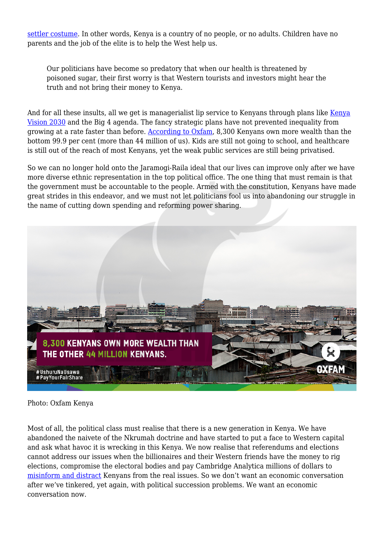[settler costume](https://www.chron.com/life/celebrities/article/Melania-Trump-responds-to-criticism-about-her-13292689.php). In other words, Kenya is a country of no people, or no adults. Children have no parents and the job of the elite is to help the West help us.

Our politicians have become so predatory that when our health is threatened by poisoned sugar, their first worry is that Western tourists and investors might hear the truth and not bring their money to Kenya.

And for all these insults, all we get is managerialist lip service to [Kenya](https://www.wandianjoya.com/blog/kenyavision2030-needs-to-be-shelved)ns through plans like Kenya [Vision 2030](https://www.wandianjoya.com/blog/kenyavision2030-needs-to-be-shelved) and the Big 4 agenda. The fancy strategic plans have not prevented inequality from growing at a rate faster than before. [According to Oxfam](https://www.oxfam.org/en/even-it/kenya-extreme-inequality-numbers), 8,300 Kenyans own more wealth than the bottom 99.9 per cent (more than 44 million of us). Kids are still not going to school, and healthcare is still out of the reach of most Kenyans, yet the weak public services are still being privatised.

So we can no longer hold onto the Jaramogi-Raila ideal that our lives can improve only after we have more diverse ethnic representation in the top political office. The one thing that must remain is that the government must be accountable to the people. Armed with the constitution, Kenyans have made great strides in this endeavor, and we must not let politicians fool us into abandoning our struggle in the name of cutting down spending and reforming power sharing.



## Photo: Oxfam Kenya

Most of all, the political class must realise that there is a new generation in Kenya. We have abandoned the naivete of the Nkrumah doctrine and have started to put a face to Western capital and ask what havoc it is wrecking in this Kenya. We now realise that referendums and elections cannot address our issues when the billionaires and their Western friends have the money to rig elections, compromise the electoral bodies and pay Cambridge Analytica millions of dollars to [misinform and distract](https://www.cnbc.com/2018/03/23/cambridge-analytica-and-its-role-in-kenya-2017-elections.html) Kenyans from the real issues. So we don't want an economic conversation after we've tinkered, yet again, with political succession problems. We want an economic conversation now.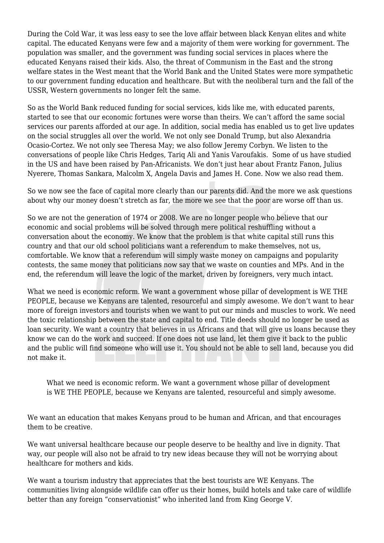During the Cold War, it was less easy to see the love affair between black Kenyan elites and white capital. The educated Kenyans were few and a majority of them were working for government. The population was smaller, and the government was funding social services in places where the educated Kenyans raised their kids. Also, the threat of Communism in the East and the strong welfare states in the West meant that the World Bank and the United States were more sympathetic to our government funding education and healthcare. But with the neoliberal turn and the fall of the USSR, Western governments no longer felt the same.

So as the World Bank reduced funding for social services, kids like me, with educated parents, started to see that our economic fortunes were worse than theirs. We can't afford the same social services our parents afforded at our age. In addition, social media has enabled us to get live updates on the social struggles all over the world. We not only see Donald Trump, but also Alexandria Ocasio-Cortez. We not only see Theresa May; we also follow Jeremy Corbyn. We listen to the conversations of people like Chris Hedges, Tariq Ali and Yanis Varoufakis. Some of us have studied in the US and have been raised by Pan-Africanists. We don't just hear about Frantz Fanon, Julius Nyerere, Thomas Sankara, Malcolm X, Angela Davis and James H. Cone. Now we also read them.

So we now see the face of capital more clearly than our parents did. And the more we ask questions about why our money doesn't stretch as far, the more we see that the poor are worse off than us.

So we are not the generation of 1974 or 2008. We are no longer people who believe that our economic and social problems will be solved through mere political reshuffling without a conversation about the economy. We know that the problem is that white capital still runs this country and that our old school politicians want a referendum to make themselves, not us, comfortable. We know that a referendum will simply waste money on campaigns and popularity contests, the same money that politicians now say that we waste on counties and MPs. And in the end, the referendum will leave the logic of the market, driven by foreigners, very much intact.

What we need is economic reform. We want a government whose pillar of development is WE THE PEOPLE, because we Kenyans are talented, resourceful and simply awesome. We don't want to hear more of foreign investors and tourists when we want to put our minds and muscles to work. We need the toxic relationship between the state and capital to end. Title deeds should no longer be used as loan security. We want a country that believes in us Africans and that will give us loans because they know we can do the work and succeed. If one does not use land, let them give it back to the public and the public will find someone who will use it. You should not be able to sell land, because you did not make it.

What we need is economic reform. We want a government whose pillar of development is WE THE PEOPLE, because we Kenyans are talented, resourceful and simply awesome.

We want an education that makes Kenyans proud to be human and African, and that encourages them to be creative.

We want universal healthcare because our people deserve to be healthy and live in dignity. That way, our people will also not be afraid to try new ideas because they will not be worrying about healthcare for mothers and kids.

We want a tourism industry that appreciates that the best tourists are WE Kenyans. The communities living alongside wildlife can offer us their homes, build hotels and take care of wildlife better than any foreign "conservationist" who inherited land from King George V.